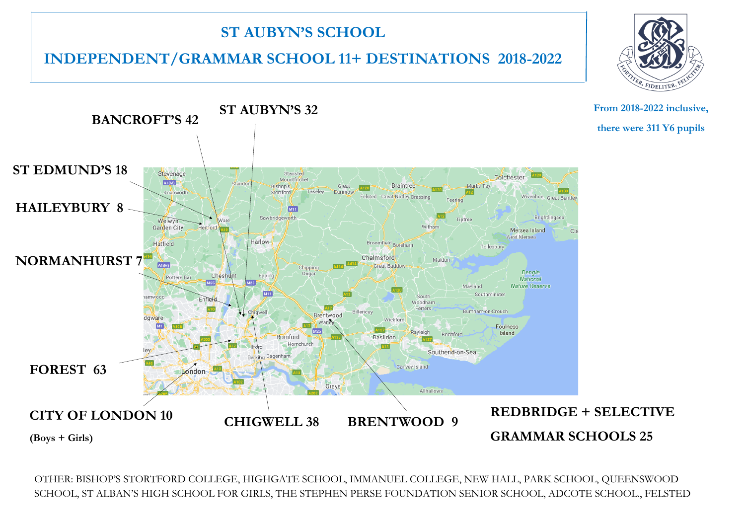## **ST AUBYN'S SCHOOL**

## **INDEPENDENT/GRAMMAR SCHOOL 11+ DESTINATIONS 2018-2022**



OTHER: BISHOP'S STORTFORD COLLEGE, HIGHGATE SCHOOL, IMMANUEL COLLEGE, NEW HALL, PARK SCHOOL, QUEENSWOOD SCHOOL, ST ALBAN'S HIGH SCHOOL FOR GIRLS, THE STEPHEN PERSE FOUNDATION SENIOR SCHOOL, ADCOTE SCHOOL., FELSTED